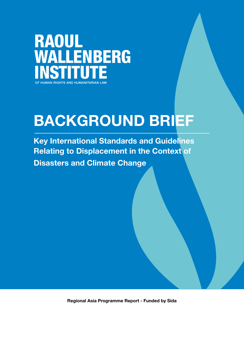**RAOUL WALLENBERG** OF HUMAN RIGHTS AND HUMANITARIAN LAW

# BACKGROUND BRIEF

Key International Standards and Guidelines Relating to Displacement in the Context of Disasters and Climate Change

Regional Asia Programme Report - Funded by Sida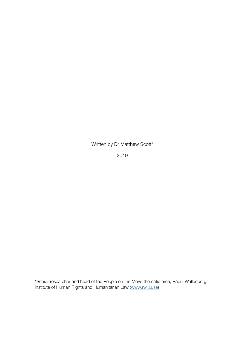Written by Dr Matthew Scott\*

2019

\*Senior researcher and head of the People on the Move thematic area, Raoul Wallenberg Institute of Human Rights and Humanitarian Law ([www.rwi.lu.se](http://www.rwi.lu.se))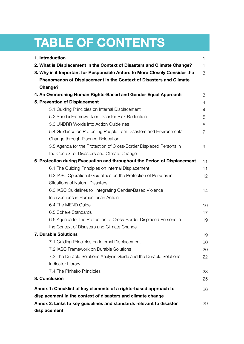## TABLE OF CONTENTS

| 1. Introduction<br>1                                                       |    |  |  |  |  |
|----------------------------------------------------------------------------|----|--|--|--|--|
| 2. What is Displacement in the Context of Disasters and Climate Change?    |    |  |  |  |  |
| 3. Why is it Important for Responsible Actors to More Closely Consider the | 3  |  |  |  |  |
| Phenomenon of Displacement in the Context of Disasters and Climate         |    |  |  |  |  |
| <b>Change?</b>                                                             |    |  |  |  |  |
| 4. An Overarching Human Rights-Based and Gender Equal Approach             | 3  |  |  |  |  |
| 5. Prevention of Displacement                                              | 4  |  |  |  |  |
| 5.1 Guiding Principles on Internal Displacement                            | 4  |  |  |  |  |
| 5.2 Sendai Framework on Disaster Risk Reduction                            | 5  |  |  |  |  |
| 5.3 UNDRR Words into Action Guidelines                                     | 6  |  |  |  |  |
| 5.4 Guidance on Protecting People from Disasters and Environmental         | 7  |  |  |  |  |
| Change through Planned Relocation                                          |    |  |  |  |  |
| 5.5 Agenda for the Protection of Cross-Border Displaced Persons in         | 9  |  |  |  |  |
| the Context of Disasters and Climate Change                                |    |  |  |  |  |
| 6. Protection during Evacuation and throughout the Period of Displacement  | 11 |  |  |  |  |
| 6.1 The Guiding Principles on Internal Displacement                        | 11 |  |  |  |  |
| 6.2 IASC Operational Guidelines on the Protection of Persons in            | 12 |  |  |  |  |
| <b>Situations of Natural Disasters</b>                                     |    |  |  |  |  |
| 6.3 IASC Guidelines for Integrating Gender-Based Violence                  | 14 |  |  |  |  |
| Interventions in Humanitarian Action                                       |    |  |  |  |  |
| 6.4 The MEND Guide                                                         | 16 |  |  |  |  |
| 6.5 Sphere Standards                                                       | 17 |  |  |  |  |
| 6.6 Agenda for the Protection of Cross-Border Displaced Persons in         | 19 |  |  |  |  |
| the Context of Disasters and Climate Change                                |    |  |  |  |  |
| <b>7. Durable Solutions</b>                                                | 19 |  |  |  |  |
| 7.1 Guiding Principles on Internal Displacement                            | 20 |  |  |  |  |
| 7.2 IASC Framework on Durable Solutions                                    | 20 |  |  |  |  |
| 7.3 The Durable Solutions Analysis Guide and the Durable Solutions         | 22 |  |  |  |  |
| <b>Indicator Library</b>                                                   |    |  |  |  |  |
| 7.4 The Pinheiro Principles                                                | 23 |  |  |  |  |
| 8. Conclusion                                                              | 25 |  |  |  |  |
| Annex 1: Checklist of key elements of a rights-based approach to           | 26 |  |  |  |  |
| displacement in the context of disasters and climate change                |    |  |  |  |  |
| Annex 2: Links to key guidelines and standards relevant to disaster<br>29  |    |  |  |  |  |
| displacement                                                               |    |  |  |  |  |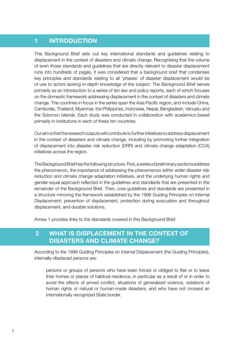## 1 INTRODUCTION

This Background Brief sets out key international standards and guidelines relating to displacement in the context of disasters and climate change. Recognising that the volume of even those standards and guidelines that are directly relevant to disaster displacement runs into hundreds of pages, it was considered that a background brief that condenses key principles and standards relating to all 'phases' of disaster displacement would be of use to actors lacking in-depth knowledge of the subject. The Background Brief serves primarily as an introduction to a series of ten law and policy reports, each of which focuses on the domestic framework addressing displacement in the context of disasters and climate change. The countries in focus in the series span the Asia Pacific region, and include China, Cambodia, Thailand, Myanmar, the Philippines, Indonesia, Nepal, Bangladesh, Vanuatu and the Solomon Islands. Each study was conducted in collaboration with academics based primarily in institutions in each of these ten countries.

Our aim is that the research outputs will contribute to further initiatives to address displacement in the context of disasters and climate change, including by promoting further integration of displacement into disaster risk reduction (DRR) and climate change adaptation (CCA) initiatives across the region.

The Background Brief has the following structure. First, a series of preliminary sections address the phenomenon, the importance of addressing the phenomenon within wider disaster risk reduction and climate change adaptation initiatives, and the underlying human rights and gender-equal approach reflected in the guidelines and standards that are presented in the remainder of the Background Brief. Then, core guidelines and standards are presented in a structure mirroring the framework established by the 1998 Guiding Principles on Internal Displacement: prevention of displacement, protection during evacuation and throughout displacement, and durable solutions.

Annex 1 provides links to the standards covered in this Background Brief.

## 2 WHAT IS DISPLACEMENT IN THE CONTEXT OF DISASTERS AND CLIMATE CHANGE?

According to the 1998 Guiding Principles on Internal Displacement (the Guiding Principles), internally-displaced persons are:

persons or groups of persons who have been forced or obliged to flee or to leave their homes or places of habitual residence, in particular as a result of or in order to avoid the effects of armed conflict, situations of generalized violence, violations of human rights or natural or human-made disasters, and who have not crossed an internationally recognized State border.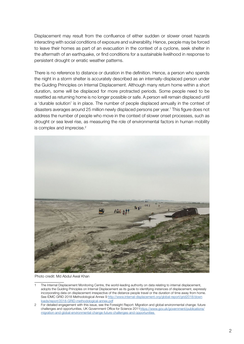Displacement may result from the confluence of either sudden or slower onset hazards interacting with social conditions of exposure and vulnerability. Hence, people may be forced to leave their homes as part of an evacuation in the context of a cyclone, seek shelter in the aftermath of an earthquake, or find conditions for a sustainable livelihood in response to persistent drought or erratic weather patterns.

There is no reference to distance or duration in the definition. Hence, a person who spends the night in a storm shelter is accurately described as an internally-displaced person under the Guiding Principles on Internal Displacement. Although many return home within a short duration, some will be displaced for more protracted periods. Some people need to be resettled as returning home is no longer possible or safe. A person will remain displaced until a 'durable solution' is in place. The number of people displaced annually in the context of disasters averages around 25 million newly displaced persons per year.<sup>1</sup> This figure does not address the number of people who move in the context of slower onset processes, such as drought or sea level rise, as measuring the role of environmental factors in human mobility is complex and imprecise.<sup>2</sup>



Photo credit: Md Abdul Awal Khan

The Internal Displacement Monitoring Centre, the world-leading authority on data relating to internal displacement, adopts the Guiding Principles on Internal Displacement as its guide to identifying instances of displacement, expressly incorporating data on displacement irrespective of the distance people travel or the duration of time away from home. See IDMC GRID 2018 Methodological Annex 9 [http://www.internal-displacement.org/global-report/grid2018/down](http://www.internal-displacement.org/global-report/grid2018/downloads/report/2018-GRID-methodological-annex.pdf) [loads/report/2018-GRID-methodological-annex.pdf](http://www.internal-displacement.org/global-report/grid2018/downloads/report/2018-GRID-methodological-annex.pdf)

<sup>2</sup> For detailed engagement with this issue, see the Foresight Report: Migration and global environmental change: future challenges and opportunities, UK Government Office for Science 2011[https://www.gov.uk/government/publications/](https://www.gov.uk/government/publications/
migration-and-global-environmental-change-future-challenges-and-opportunities) [migration-](https://www.gov.uk/government/publications/
migration-and-global-environmental-change-future-challenges-and-opportunities)and-global-environmental-change-future-challenges-and-opportunities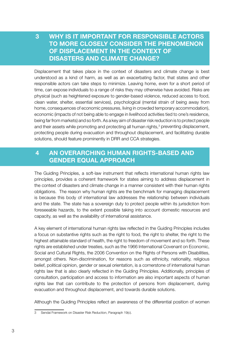## 3 WHY IS IT IMPORTANT FOR RESPONSIBLE ACTORS TO MORE CLOSELY CONSIDER THE PHENOMENON OF DISPLACEMENT IN THE CONTEXT OF DISASTERS AND CLIMATE CHANGE?

Displacement that takes place in the context of disasters and climate change is best understood as a kind of harm, as well as an exacerbating factor, that states and other responsible actors can take steps to minimize. Leaving home, even for a short period of time, can expose individuals to a range of risks they may otherwise have avoided. Risks are physical (such as heightened exposure to gender-based violence, reduced access to food, clean water, shelter, essential services), psychological (mental strain of being away from home, consequences of economic pressures, living in crowded temporary accommodation), economic (impacts of not being able to engage in livelihood activities tied to one's residence, being far from markets) and so forth. As a key aim of disaster risk reduction is to protect people and their assets while promoting and protecting all human rights, $3$  preventing displacement, protecting people during evacuation and throughout displacement, and facilitating durable solutions, should feature prominently in DRR and CCA strategies.

## 4 AN OVERARCHING HUMAN RIGHTS-BASED AND GENDER EQUAL APPROACH

The Guiding Principles, a soft-law instrument that reflects international human rights law principles, provides a coherent framework for states aiming to address displacement in the context of disasters and climate change in a manner consistent with their human rights obligations. The reason why human rights are the benchmark for managing displacement is because this body of international law addresses the relationship between individuals and the state. The state has a sovereign duty to protect people within its jurisdiction from foreseeable hazards, to the extent possible taking into account domestic resources and capacity, as well as the availability of international assistance.

A key element of international human rights law reflected in the Guiding Principles includes a focus on substantive rights such as the right to food, the right to shelter, the right to the highest attainable standard of health, the right to freedom of movement and so forth. These rights are established under treaties, such as the 1966 International Covenant on Economic, Social and Cultural Rights, the 2006 Convention on the Rights of Persons with Disabilities, amongst others. Non-discrimination, for reasons such as ethnicity, nationality, religious belief, political opinion, gender or sexual orientation, is a cornerstone of international human rights law that is also clearly reflected in the Guiding Principles. Additionally, principles of consultation, participation and access to information are also important aspects of human rights law that can contribute to the protection of persons from displacement, during evacuation and throughout displacement, and towards durable solutions.

Although the Guiding Principles reflect an awareness of the differential position of women

<sup>3</sup> Sendai Framework on Disaster Risk Reduction, Paragraph 19(c).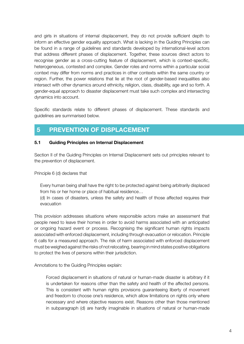and girls in situations of internal displacement, they do not provide sufficient depth to inform an effective gender equality approach. What is lacking in the Guiding Principles can be found in a range of guidelines and standards developed by international-level actors that address different phases of displacement. Together, these sources direct actors to recognise gender as a cross-cutting feature of displacement, which is context-specific, heterogeneous, contested and complex. Gender roles and norms within a particular social context may differ from norms and practices in other contexts within the same country or region. Further, the power relations that lie at the root of gender-based inequalities also intersect with other dynamics around ethnicity, religion, class, disability, age and so forth. A gender-equal approach to disaster displacement must take such complex and intersecting dynamics into account.

Specific standards relate to different phases of displacement. These standards and guidelines are summarised below.

## 5 PREVENTION OF DISPLACEMENT

#### 5.1 Guiding Principles on Internal Displacement

Section II of the Guiding Principles on Internal Displacement sets out principles relevant to the prevention of displacement.

Principle 6 (d) declares that

Every human being shall have the right to be protected against being arbitrarily displaced from his or her home or place of habitual residence…

(d) In cases of disasters, unless the safety and health of those affected requires their evacuation

This provision addresses situations where responsible actors make an assessment that people need to leave their homes in order to avoid harms associated with an anticipated or ongoing hazard event or process. Recognising the significant human rights impacts associated with enforced displacement, including through evacuation or relocation. Principle 6 calls for a measured approach. The risk of harm associated with enforced displacement must be weighed against the risks of not relocating, bearing in mind states positive obligations to protect the lives of persons within their jurisdiction.

Annotations to the Guiding Principles explain:

Forced displacement in situations of natural or human-made disaster is arbitrary if it is undertaken for reasons other than the safety and health of the affected persons. This is consistent with human rights provisions guaranteeing liberty of movement and freedom to choose one's residence, which allow limitations on rights only where necessary and where objective reasons exist. Reasons other than those mentioned in subparagraph (d) are hardly imaginable in situations of natural or human-made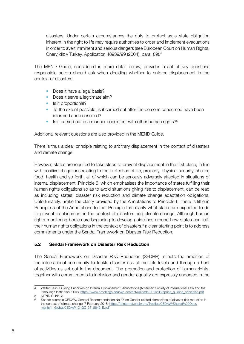disasters. Under certain circumstances the duty to protect as a state obligation inherent in the right to life may require authorities to order and implement evacuations in order to avert imminent and serious dangers (see European Court on Human Rights, Öneryildiz v Turkey, Application 48939/99 (2004), para. 89).4

The MEND Guide, considered in more detail below, provides a set of key questions responsible actors should ask when deciding whether to enforce displacement in the context of disasters:

- Does it have a legal basis?
- Does it serve a legitimate aim?
- Is it proportional?
- To the extent possible, is it carried out after the persons concerned have been informed and consulted?
- $\bullet$  Is it carried out in a manner consistent with other human rights?<sup>5</sup>

Additional relevant questions are also provided in the MEND Guide.

There is thus a clear principle relating to arbitrary displacement in the context of disasters and climate change.

However, states are required to take steps to prevent displacement in the first place, in line with positive obligations relating to the protection of life, property, physical security, shelter, food, health and so forth, all of which can be seriously adversely affected in situations of internal displacement. Principle 5, which emphasises the importance of states fulfilling their human rights obligations so as to avoid situations giving rise to displacement, can be read as including states' disaster risk reduction and climate change adaptation obligations. Unfortunately, unlike the clarity provided by the Annotations to Principle 6, there is little in Principle 5 of the Annotations to that Principle that clarify what states are expected to do to prevent displacement in the context of disasters and climate change. Although human rights monitoring bodies are beginning to develop guidelines around how states can fulfil their human rights obligations in the context of disasters, $6$  a clear starting point is to address commitments under the Sendai Framework on Disaster Risk Reduction.

#### 5.2 Sendai Framework on Disaster Risk Reduction

The Sendai Framework on Disaster Risk Reduction (SFDRR) reflects the ambition of the international community to tackle disaster risk at multiple levels and through a host of activities as set out in the document. The promotion and protection of human rights, together with commitments to inclusion and gender equality are expressly endorsed in the

<sup>4</sup> Walter Kälin, Guiding Principles on Internal Displacement: Annotations (American Society of International Law and the Brookings Institution, 2008) [https://www.brookings.edu/wp-content/uploads/2016/06/spring\\_guiding\\_principles.pdf](https://www.brookings.edu/wp-content/uploads/2016/06/spring_guiding_principles.pdf)

<sup>5</sup> MEND Guide, 31

<sup>6</sup> See for example CEDAW, General Recommendation No 37 on Gender-related dimensions of disaster risk reduction in the context of climate change (7 February 2018) [https://tbinternet.ohchr.org/Treaties/CEDAW/Shared%](https://tbinternet.ohchr.org/Treaties/CEDAW/Shared%20Docu
	ments/1_Global/CEDAW_C_GC_37_8642_E.pdf )20Docu ments/1\_Global[/CEDAW\\_C\\_GC\\_37\\_8642\\_E.pdf](http://CEDAW_C_GC_37_8642_E.pdf)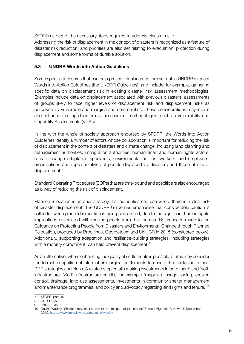SFDRR as part of the necessary steps required to address disaster risk.<sup>7</sup> Addressing the risk of displacement in the context of disasters is recognized as a feature of disaster risk reduction, and priorities are also set relating to evacuation, protection during displacement and some forms of durable solution.

#### 5.3 UNDRR Words into Action Guidelines

Some specific measures that can help prevent displacement are set out in UNDRR's recent Words into Action Guidelines (the UNDRR Guidelines), and include, for example, gathering specific data on displacement risk in existing disaster risk assessment methodologies. Examples include data on displacement associated with previous disasters, assessments of groups likely to face higher levels of displacement risk and displacement risks as perceived by vulnerable and marginalised communities. These considerations may inform and enhance existing disaster risk assessment methodologies, such as Vulnerability and Capability Assessments (VCAs).

In line with the whole of society approach endorsed by SFDRR, the Words into Action Guidelines identify a number of actors whose collaboration is important for reducing the risk of displacement in the context of disasters and climate change, including land planning and management authorities, immigration authorities, humanitarian and human rights actors, climate change adaptation specialists, environmental entities, workers' and employers' organisations and representatives of people displaced by disasters and those at risk of displacement.<sup>8</sup>

Standard Operating Procedures (SOPs) that are time-bound and specific are also encouraged as a way of reducing the risk of displacement.

Planned relocation is another strategy that authorities can use where there is a clear risk of disaster displacement. The UNDRR Guidelines emphasise that considerable caution is called for when planned relocation is being considered, due to the significant human rights implications associated with moving people from their homes. Reference is made to the Guidance on Protecting People from Disasters and Environmental Change through Planned Relocation, produced by Brookings, Georgetown and UNHCR in 2015 (considered below). Additionally, supporting adaptation and resilience-building strategies, including strategies with a mobility component, can help prevent displacement.<sup>9</sup>

As an alternative, where enhancing the quality of settlements is possible, states may consider the formal recognition of informal or marginal settlements to ensure their inclusion in local DRR strategies and plans. A related step entails making investments in both 'hard' and 'soft' infrastructure. 'Soft' infrastructure entails, for example 'mapping, usage zoning, erosion control, drainage, land-use assessments, investments in community shelter management and maintenance programmes, and policy and advocacy regarding land rights and tenure.'10

SFDRR, para 19

<sup>8</sup> UNDRR, 27

<sup>9</sup> ibid., 32, 35

<sup>10</sup> Davina Wadley, 'Shelter interventions prevent and mitigate displacement,' Forced Migration Review 41, December 2012,<https://www.fmreview.org/preventing/wadley>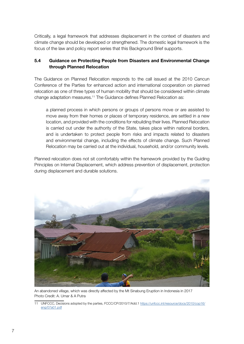Critically, a legal framework that addresses displacement in the context of disasters and climate change should be developed or strengthened. The domestic legal framework is the focus of the law and policy report series that this Background Brief supports.

#### 5.4 Guidance on Protecting People from Disasters and Environmental Change through Planned Relocation

The Guidance on Planned Relocation responds to the call issued at the 2010 Cancun Conference of the Parties for enhanced action and international cooperation on planned relocation as one of three types of human mobility that should be considered within climate change adaptation measures.11 The Guidance defines Planned Relocation as:

a planned process in which persons or groups of persons move or are assisted to move away from their homes or places of temporary residence, are settled in a new location, and provided with the conditions for rebuilding their lives. Planned Relocation is carried out under the authority of the State, takes place within national borders, and is undertaken to protect people from risks and impacts related to disasters and environmental change, including the effects of climate change. Such Planned Relocation may be carried out at the individual, household, and/or community levels.

Planned relocation does not sit comfortably within the framework provided by the Guiding Principles on Internal Displacement, which address prevention of displacement, protection during displacement and durable solutions.



An abandoned village, which was directly affected by the Mt Sinabung Eruption in Indonesia in 2017 Photo Credit: A. Umar & A Putra

<sup>11</sup> UNFCCC, Decisions adopted by the parties, FCCC/CP/2010/7/Add.1 [https://unfccc.int/resource/docs/2010/cop16/](https://unfccc.int/resource/docs/2010/cop16/eng/07a01.pdf) [eng/07a01.pdf](https://unfccc.int/resource/docs/2010/cop16/eng/07a01.pdf)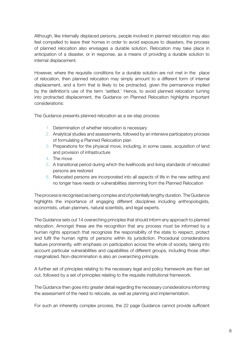Although, like internally displaced persons, people involved in planned relocation may also feel compelled to leave their homes in order to avoid exposure to disasters, the process of planned relocation also envisages a durable solution. Relocation may take place in anticipation of a disaster, or in response, as a means of providing a durable solution to internal displacement.

However, where the requisite conditions for a durable solution are not met in the place of relocation, then planned relocation may simply amount to a different form of internal displacement, and a form that is likely to be protracted, given the permanence implied by the definition's use of the term 'settled.' Hence, to avoid planned relocation turning into protracted displacement, the Guidance on Planned Relocation highlights important considerations:

The Guidance presents planned relocation as a six-step process:

- 1. Determination of whether relocation is necessary
- 2. Analytical studies and assessments, followed by an intensive participatory process of formulating a Planned Relocation plan
- 3. Preparations for the physical move, including, in some cases, acquisition of land and provision of infrastructure
- 4. The move
- 5. A transitional period during which the livelihoods and living standards of relocated persons are restored
- 6. Relocated persons are incorporated into all aspects of life in the new setting and no longer have needs or vulnerabilities stemming from the Planned Relocation

The process is recognised as being complex and of potentially lengthy duration. The Guidance highlights the importance of engaging different disciplines including anthropologists, economists, urban planners, natural scientists, and legal experts.

The Guidance sets out 14 overarching principles that should inform any approach to planned relocation. Amongst these are the recognition that any process must be informed by a human rights approach that recognizes the responsibility of the state to respect, protect and fulfil the human rights of persons within its jurisdiction. Procedural considerations feature prominently, with emphasis on participation across the whole of society, taking into account particular vulnerabilities and capabilities of different groups, including those often marginalized. Non-discrimination is also an overarching principle.

A further set of principles relating to the necessary legal and policy framework are then set out, followed by a set of principles relating to the requisite institutional framework.

The Guidance then goes into greater detail regarding the necessary considerations informing the assessment of the need to relocate, as well as planning and implementation.

For such an inherently complex process, the 22 page Guidance cannot provide sufficient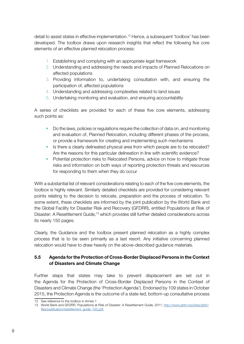detail to assist states in effective implementation.12 Hence, a subsequent 'toolbox' has been developed. The toolbox draws upon research insights that reflect the following five core elements of an effective planned relocation process:

- 1. Establishing and complying with an appropriate legal framework
- 2. Understanding and addressing the needs and impacts of Planned Relocations on affected populations
- 3. Providing information to, undertaking consultation with, and ensuring the participation of, affected populations
- 4. Understanding and addressing complexities related to land issues
- 5. Undertaking monitoring and evaluation, and ensuring accountability

A series of checklists are provided for each of these five core elements, addressing such points as:

- Do the laws, policies or regulations require the collection of data on, and monitoring and evaluation of, Planned Relocation, including different phases of the process, or provide a framework for creating and implementing such mechanisms
- Is there a clearly delineated physical area from which people are to be relocated? Are the reasons for this particular delineation in line with scientific evidence?
- Potential protection risks to Relocated Persons, advice on how to mitigate those risks and information on both ways of reporting protection threats and resources for responding to them when they do occur

With a substantial list of relevant considerations relating to each of the five core elements, the toolbox is highly relevant. Similarly detailed checklists are provided for considering relevant points relating to the decision to relocate, preparation and the process of relocation. To some extent, these checklists are informed by the joint publication by the World Bank and the Global Facility for Disaster Risk and Recovery (GFDRR), entitled Populations at Risk of Disaster: A Resettlement Guide,13 which provides still further detailed considerations across its nearly 150 pages.

Clearly, the Guidance and the toolbox present planned relocation as a highly complex process that is to be seen primarily as a last resort. Any initiative concerning planned relocation would have to draw heavily on the above-described guidance materials.

#### 5.5 Agenda for the Protection of Cross-Border Displaced Persons in the Context of Disasters and Climate Change

Further steps that states may take to prevent displacement are set out in the Agenda for the Protection of Cross-Border Displaced Persons in the Context of Disasters and Climate Change (the 'Protection Agenda'). Endorsed by 109 states in October 2015, the Protection Agenda is the outcome of a state-led, bottom-up consultative process

<sup>12</sup> See reference to the toolbox in Annex 1

<sup>13</sup> World Bank and GFDRR, Populations at Risk of Disaster: A Resettlement Guide, 2011, [http://www.gfdrr.org/sites/gfdrr/](http://www.gfdrr.org/sites/gfdrr/files/publication/resettlement_guide_150.pdf) [files/publication/resettlement\\_guide\\_150.pdf](http://www.gfdrr.org/sites/gfdrr/files/publication/resettlement_guide_150.pdf)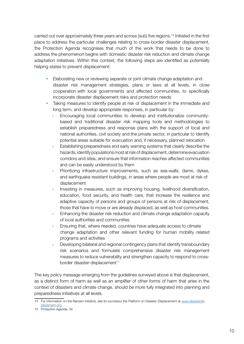carried out over approximately three years and across (sub) five regions.14 Initiated in the first place to address the particular challenges relating to cross-border disaster displacement, the Protection Agenda recognises that much of the work that needs to be done to address the phenomenon begins with domestic disaster risk reduction and climate change adaptation initiatives. Within this context, the following steps are identified as potentially helping states to prevent displacement:

- Elaborating new or reviewing separate or joint climate change adaptation and disaster risk management strategies, plans or laws at all levels, in close cooperation with local governments and affected communities, to specifically incorporate disaster displacement risks and protection needs
- Taking measures to identify people at risk of displacement in the immediate and long term, and develop appropriate responses, in particular by:
	- » Encouraging local communities to develop and institutionalize communitybased and traditional disaster risk mapping tools and methodologies to establish preparedness and response plans with the support of local and national authorities, civil society and the private sector, in particular to identify potential areas suitable for evacuation and, if necessary, planned relocation
	- » Establishing preparedness and early warning systems that clearly describe the hazards, identify populations most at risk of displacement, determine evacuation corridors and sites, and ensure that information reaches affected communities and can be easily understood by them
	- » Prioritizing infrastructure improvements, such as sea-walls, dams, dykes, and earthquake resistant buildings, in areas where people are most at risk of displacement
	- » Investing in measures, such as improving housing, livelihood diversification, education, food security, and health care, that increase the resilience and adaptive capacity of persons and groups of persons at risk of displacement, those that have to move or are already displaced, as well as host communities.
	- » Enhancing the disaster risk reduction and climate change adaptation capacity of local authorities and communities
	- » Ensuring that, where needed, countries have adequate access to climate change adaptation and other relevant funding for human mobility related programs and activities
	- » Developing bilateral and regional contingency plans that identify transboundary risk scenarios and formulate comprehensive disaster risk management measures to reduce vulnerability and strengthen capacity to respond to crossborder disaster-displacement<sup>15</sup>

The key policy message emerging from the guidelines surveyed above is that displacement, as a distinct form of harm as well as an amplifier of other forms of harm that arise in the context of disasters and climate change, should be more fully integrated into planning and preparedness initiatives at all levels.

<sup>14</sup> For information on the Nansen Initiative, see its successor the Platform on Disaster Displacement at [www.disasterdis](http://www.disasterdisplacement.org) [placement.org.](http://www.disasterdisplacement.org)

<sup>15</sup> Protection Agenda, 34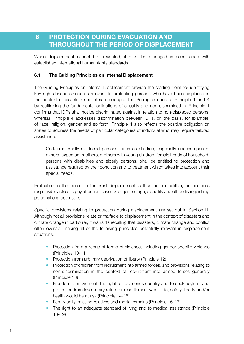## 6 PROTECTION DURING EVACUATION AND THROUGHOUT THE PERIOD OF DISPLACEMENT

When displacement cannot be prevented, it must be managed in accordance with established international human rights standards.

#### 6.1 The Guiding Principles on Internal Displacement

The Guiding Principles on Internal Displacement provide the starting point for identifying key rights-based standards relevant to protecting persons who have been displaced in the context of disasters and climate change. The Principles open at Principle 1 and 4 by reaffirming the fundamental obligations of equality and non-discrimination. Principle 1 confirms that IDPs shall not be discriminated against in relation to non-displaced persons, whereas Principle 4 addresses discrimination between IDPs, on the basis, for example, of race, religion, gender and so forth. Principle 4 also reflects the positive obligation on states to address the needs of particular categories of individual who may require tailored assistance:

Certain internally displaced persons, such as children, especially unaccompanied minors, expectant mothers, mothers with young children, female heads of household, persons with disabilities and elderly persons, shall be entitled to protection and assistance required by their condition and to treatment which takes into account their special needs.

Protection in the context of internal displacement is thus not monolithic, but requires responsible actors to pay attention to issues of gender, age, disability and other distinguishing personal characteristics.

Specific provisions relating to protection during displacement are set out in Section III. Although not all provisions relate prima facie to displacement in the context of disasters and climate change in particular, it warrants recalling that disasters, climate change and conflict often overlap, making all of the following principles potentially relevant in displacement situations:

- Protection from a range of forms of violence, including gender-specific violence (Principles 10-11)
- Protection from arbitrary deprivation of liberty (Principle 12)
- Protection of children from recruitment into armed forces, and provisions relating to non-discrimination in the context of recruitment into armed forces generally (Principle 13)
- Freedom of movement, the right to leave ones country and to seek asylum, and protection from involuntary return or resettlement where life, safety, liberty and/or health would be at risk (Principle 14-15)
- Family unity, missing relatives and mortal remains (Principle 16-17)
- The right to an adequate standard of living and to medical assistance (Principle 18-19)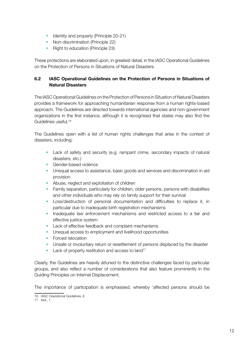- Identity and property (Principle 20-21)
- Non-discrimination (Principle 22)
- Right to education (Principle 23)

These protections are elaborated upon, in greatest detail, in the IASC Operational Guidelines on the Protection of Persons in Situations of Natural Disasters.

#### 6.2 IASC Operational Guidelines on the Protection of Persons in Situations of Natural Disasters

The IASC Operational Guidelines on the Protection of Persons in Situation of Natural Disasters provides a framework for approaching humanitarian response from a human rights-based approach. The Guidelines are directed towards international agencies and non-government organizations in the first instance, although it is recognised that states may also find the Guidelines useful.16

The Guidelines open with a list of human rights challenges that arise in the context of disasters, including:

- Lack of safety and security (e.g. rampant crime, secondary impacts of natural disasters, etc.)
- Gender-based violence
- Unequal access to assistance, basic goods and services and discrimination in aid provision
- Abuse, neglect and exploitation of children
- Family separation, particularly for children, older persons, persons with disabilities and other individuals who may rely on family support for their survival
- Loss/destruction of personal documentation and difficulties to replace it, in particular due to inadequate birth registration mechanisms
- Inadequate law enforcement mechanisms and restricted access to a fair and effective justice system
- Lack of effective feedback and complaint mechanisms
- Unequal access to employment and livelihood opportunities
- Forced relocation
- Unsafe or involuntary return or resettlement of persons displaced by the disaster
- Lack of property restitution and access to land<sup>17</sup>

Clearly, the Guidelines are heavily attuned to the distinctive challenges faced by particular groups, and also reflect a number of considerations that also feature prominently in the Guiding Principles on Internal Displacement.

The importance of participation is emphasised, whereby 'affected persons should be

<sup>16</sup> IASC Operational Guidelines, 8

<sup>17</sup> ibid., 1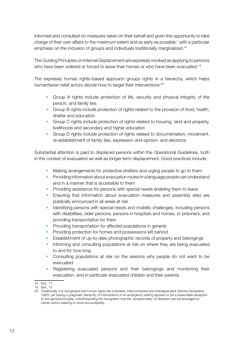informed and consulted on measures taken on their behalf and given the opportunity to take charge of their own affairs to the maximum extent and as early as possible,' with a particular emphasis on the inclusion of groups and individuals traditionally marginalized.<sup>18</sup>

The Guiding Principles on Internal Displacement are expressly invoked as applying to persons who have been ordered or forced to leave their homes or who have been evacuated.<sup>19</sup>

The expressly human rights-based approach groups rights in a hierarchy, which helps humanitarian relief actors decide how to target their interventions:<sup>20</sup>

- Group A rights include protection of life, security and physical integrity of the person, and family ties
- Group B rights include protection of rights related to the provision of food, health, shelter and education
- Group C rights include protection of rights related to housing, land and property, livelihoods and secondary and higher education
- Group D rights include protection of rights related to documentation, movement, re-establishment of family ties, expression and opinion, and elections

Substantial attention is paid to displaced persons within the Operational Guidelines, both in the context of evacuation as well as longer-term displacement. Good practices include:

- Making arrangements for protective shelters and urging people to go to them
- Providing information about evacuation routes in a language people can understand and in a manner that is accessible to them
- Providing assistance for persons with special needs enabling them to leave
- Ensuring that information about evacuation measures and assembly sites are publically announced in all areas at risk
- Identifying persons with special needs and mobility challenges, including persons with disabilities, older persons, persons in hospitals and homes, or prisoners, and providing transportation for them
- Providing transportation for affected populations in general
- Providing protection for homes and possessions left behind
- Establishment of up-to-date photographic records of property and belongings
- Informing and consulting populations at risk on where they are being evacuated to and for how long
- Consulting populations at risk on the reasons why people do not want to be evacuated
- Registering evacuated persons and their belongings and monitoring their evacuation, and in particular evacuated children and their parents

<sup>18</sup> ibid., 11

<sup>19</sup> ibid., 12

<sup>20</sup> Traditionally, it is recognised that human rights are indivisible, interconnected and interdependent (Vienna Declaration 1993), yet having a pragmatic hierarchy of interventions in an emergency setting appears to be a reasonable exception to this general principle, notwithstanding the recognition that the 'exceptionality' of disasters can be leveraged by certain actors seeking to avoid accountability.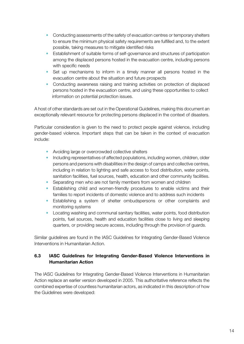- Conducting assessments of the safety of evacuation centres or temporary shelters to ensure the minimum physical safety requirements are fulfilled and, to the extent possible, taking measures to mitigate identified risks
- Establishment of suitable forms of self-governance and structures of participation among the displaced persons hosted in the evacuation centre, including persons with specific needs
- Set up mechanisms to inform in a timely manner all persons hosted in the evacuation centre about the situation and future prospects
- Conducting awareness raising and training activities on protection of displaced persons hosted in the evacuation centre, and using these opportunities to collect information on potential protection issues.

A host of other standards are set out in the Operational Guidelines, making this document an exceptionally relevant resource for protecting persons displaced in the context of disasters.

Particular consideration is given to the need to protect people against violence, including gender-based violence. Important steps that can be taken in the context of evacuation include:

- Avoiding large or overcrowded collective shelters
- Including representatives of affected populations, including women, children, older persons and persons with disabilities in the design of camps and collective centres, including in relation to lighting and safe access to food distribution, water points, sanitation facilities, fuel sources, health, education and other community facilities.
- Separating men who are not family members from women and children
- Establishing child and women-friendly procedures to enable victims and their families to report incidents of domestic violence and to address such incidents
- Establishing a system of shelter ombudspersons or other complaints and monitoring systems
- Locating washing and communal sanitary facilities, water points, food distribution points, fuel sources, health and education facilities close to living and sleeping quarters, or providing secure access, including through the provision of guards.

Similar guidelines are found in the IASC Guidelines for Integrating Gender-Based Violence Interventions in Humanitarian Action.

#### 6.3 IASC Guidelines for Integrating Gender-Based Violence Interventions in Humanitarian Action

The IASC Guidelines for Integrating Gender-Based Violence Interventions in Humanitarian Action replace an earlier version developed in 2005. This authoritative reference reflects the combined expertise of countless humanitarian actors, as indicated in this description of how the Guidelines were developed: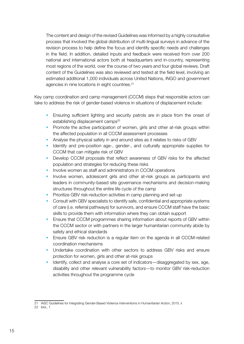The content and design of the revised Guidelines was informed by a highly consultative process that involved the global distribution of multi-lingual surveys in advance of the revision process to help define the focus and identify specific needs and challenges in the field. In addition, detailed inputs and feedback were received from over 200 national and international actors both at headquarters and in-country, representing most regions of the world, over the course of two years and four global reviews. Draft content of the Guidelines was also reviewed and tested at the field level, involving an estimated additional 1,000 individuals across United Nations, INGO and government agencies in nine locations in eight countries.21

Key camp coordination and camp management (CCCM) steps that responsible actors can take to address the risk of gender-based violence in situations of displacement include:

- Ensuring sufficient lighting and security patrols are in place from the onset of establishing displacement camps<sup>22</sup>
- Promote the active participation of women, girls and other at-risk groups within the affected population in all CCCM assessment processes
- Analyse the physical safety in and around sites as it relates to risks of GBV
- Identify and pre-position age-, gender-, and culturally appropriate supplies for CCCM that can mitigate risk of GBV
- Develop CCCM proposals that reflect awareness of GBV risks for the affected population and strategies for reducing these risks
- Involve women as staff and administrators in CCCM operations
- Involve women, adolescent girls and other at-risk groups as participants and leaders in community-based site governance mechanisms and decision-making structures throughout the entire life cycle of the camp
- Prioritize GBV risk-reduction activities in camp planning and set-up
- Consult with GBV specialists to identify safe, confidential and appropriate systems of care (i.e. referral pathways) for survivors, and ensure CCCM staff have the basic skills to provide them with information where they can obtain support
- Ensure that CCCM programmes sharing information about reports of GBV within the CCCM sector or with partners in the larger humanitarian community abide by safety and ethical standards
- Ensure GBV risk reduction is a regular item on the agenda in all CCCM-related coordination mechanisms
- Undertake coordination with other sectors to address GBV risks and ensure protection for women, girls and other at-risk groups
- Identify, collect and analyse a core set of indicators—disaggregated by sex, age, disability and other relevant vulnerability factors—to monitor GBV risk-reduction activities throughout the programme cycle

<sup>21</sup> IASC Guidelines for Integrating Gender-Based Violence Interventions in Humanitarian Action, 2015, ii 22 ibid., 1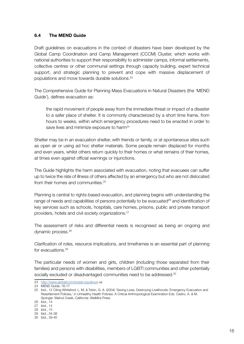#### 6.4 The MEND Guide

Draft guidelines on evacuations in the context of disasters have been developed by the Global Camp Coordination and Camp Management (CCCM) Cluster, which works with national authorities to support their responsibility to administer camps, informal settlements, collective centres or other communal settings through capacity building, expert technical support, and strategic planning to prevent and cope with massive displacement of populations and move towards durable solutions.23

The Comprehensive Guide for Planning Mass Evacuations in Natural Disasters (the 'MEND Guide'), defines evacuation as:

the rapid movement of people away from the immediate threat or impact of a disaster to a safer place of shelter. It is commonly characterized by a short time frame, from hours to weeks, within which emergency procedures need to be enacted in order to save lives and minimize exposure to harm<sup>24</sup>

Shelter may be in an evacuation shelter, with friends or family, or at spontaneous sites such as open air or using ad hoc shelter materials. Some people remain displaced for months and even years, whilst others return quickly to their homes or what remains of their homes, at times even against official warnings or injunctions.

The Guide highlights the harm associated with evacuation, noting that evacuees can suffer up to twice the rate of illness of others affected by an emergency but who are not dislocated from their homes and communities.<sup>25</sup>

Planning is central to rights-based evacuation, and planning begins with understanding the range of needs and capabilities of persons potentially to be evacuated<sup>26</sup> and identification of key services such as schools, hospitals, care homes, prisons, public and private transport providers, hotels and civil society organizations.27

The assessment of risks and differential needs is recognised as being an ongoing and dynamic process.28

Clarification of roles, resource implications, and timeframes is an essential part of planning for evacuations.<sup>29</sup>

The particular needs of women and girls, children (including those separated from their families) and persons with disabilities, members of LGBTI communities and other potentially socially excluded or disadvantaged communities need to be addressed.<sup>30</sup>

<sup>23</sup> [http://www.globalcccmcluster.org/about-](http://www.globalcccmcluster.org/about)us

<sup>24</sup> MEND Guide, 16-17

<sup>25</sup> ibid., 12 Citing Whiteford, L. M, & Tobin, G. A. (2004) 'Saving Lives, Destroying Livelihoods: Emergency Evacuation and Resettlement Policies,' in Unhealthy Health Policies: A Critical Anthropological Examination Eds. Castro, A. & M. Springer. Walnut Creek, California: AltaMira Press

<sup>26</sup> ibid., 14

<sup>27</sup> ibid., 14

<sup>28</sup> ibid., 15

<sup>29</sup> ibid., 34-38

<sup>30</sup> ibid., 39-40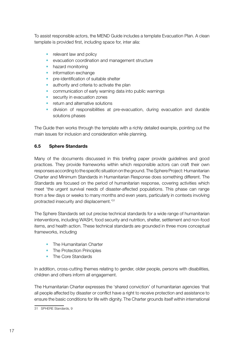To assist responsible actors, the MEND Guide includes a template Evacuation Plan. A clean template is provided first, including space for, inter alia:

- relevant law and policy
- evacuation coordination and management structure
- hazard monitoring
- information exchange
- pre-identification of suitable shelter
- authority and criteria to activate the plan
- communication of early warning data into public warnings
- security in evacuation zones
- return and alternative solutions
- division of responsibilities at pre-evacuation, during evacuation and durable solutions phases

The Guide then works through the template with a richly detailed example, pointing out the main issues for inclusion and consideration while planning.

#### 6.5 Sphere Standards

Many of the documents discussed in this briefing paper provide guidelines and good practices. They provide frameworks within which responsible actors can craft their own responses according to the specific situation on the ground. The Sphere Project: Humanitarian Charter and Minimum Standards in Humanitarian Response does something different. The Standards are focused on the period of humanitarian response, covering activities which meet 'the urgent survival needs of disaster-affected populations. This phase can range from a few days or weeks to many months and even years, particularly in contexts involving protracted insecurity and displacement.'31

The Sphere Standards set out precise technical standards for a wide range of humanitarian interventions, including WASH, food security and nutrition, shelter, settlement and non-food items, and health action. These technical standards are grounded in three more conceptual frameworks, including

- The Humanitarian Charter
- The Protection Principles
- The Core Standards

In addition, cross-cutting themes relating to gender, older people, persons with disabilities, children and others inform all engagement.

The Humanitarian Charter expresses the 'shared conviction' of humanitarian agencies 'that all people affected by disaster or conflict have a right to receive protection and assistance to ensure the basic conditions for life with dignity. The Charter grounds itself within international

<sup>31</sup> SPHERE Standards, 9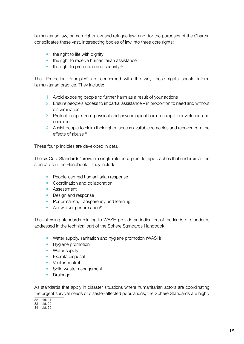humanitarian law, human rights law and refugee law, and, for the purposes of the Charter, consolidates these vast, intersecting bodies of law into three core rights:

- the right to life with dignity
- the right to receive humanitarian assistance
- $\bullet$  the right to protection and security. $32$

The 'Protection Principles' are concerned with the way these rights should inform humanitarian practice. They include:

- 1. Avoid exposing people to further harm as a result of your actions
- 2. Ensure people's access to impartial assistance in proportion to need and without discrimination
- 3. Protect people from physical and psychological harm arising from violence and coercion
- 4. Assist people to claim their rights, access available remedies and recover from the effects of abuse<sup>33</sup>

These four principles are developed in detail.

The six Core Standards 'provide a single reference point for approaches that underpin all the standards in the Handbook.' They include:

- People-centred humanitarian response
- Coordination and collaboration
- Assessment
- Design and response
- Performance, transparency and learning
- Aid worker performance<sup>34</sup>

The following standards relating to WASH provide an indication of the kinds of standards addressed in the technical part of the Sphere Standards Handbook:

- Water supply, sanitation and hygiene promotion (WASH)
- Hygiene promotion
- Water supply
- Excreta disposal
- Vector control
- Solid waste management
- Drainage

As standards that apply in disaster situations where humanitarian actors are coordinating the urgent survival needs of disaster-affected populations, the Sphere Standards are highly

32 ibid, 21

<sup>33</sup> ibid, 29

<sup>34</sup> ibid, 50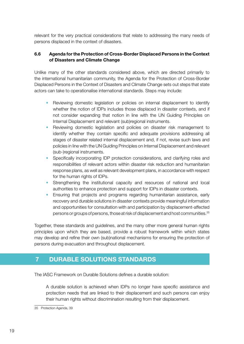relevant for the very practical considerations that relate to addressing the many needs of persons displaced in the context of disasters.

#### 6.6 Agenda for the Protection of Cross-Border Displaced Persons in the Context of Disasters and Climate Change

Unlike many of the other standards considered above, which are directed primarily to the international humanitarian community, the Agenda for the Protection of Cross-Border Displaced Persons in the Context of Disasters and Climate Change sets out steps that state actors can take to operationalise international standards. Steps may include:

- Reviewing domestic legislation or policies on internal displacement to identify whether the notion of IDPs includes those displaced in disaster contexts, and if not consider expanding that notion in line with the UN Guiding Principles on Internal Displacement and relevant (sub)regional instruments.
- Reviewing domestic legislation and policies on disaster risk management to identify whether they contain specific and adequate provisions addressing all stages of disaster related internal displacement and, if not, revise such laws and policies in line with the UN Guiding Principles on Internal Displacement and relevant (sub-)regional instruments.
- Specifically incorporating IDP protection considerations, and clarifying roles and responsibilities of relevant actors within disaster risk reduction and humanitarian response plans, as well as relevant development plans, in accordance with respect for the human rights of IDPs.
- Strengthening the institutional capacity and resources of national and local authorities to enhance protection and support for IDPs in disaster contexts.
- Ensuring that projects and programs regarding humanitarian assistance, early recovery and durable solutions in disaster contexts provide meaningful information and opportunities for consultation with and participation by displacement-affected persons or groups of persons, those at risk of displacement and host communities.35

Together, these standards and guidelines, and the many other more general human rights principles upon which they are based, provide a robust framework within which states may develop and refine their own (sub)national mechanisms for ensuring the protection of persons during evacuation and throughout displacement.

## 7 DURABLE SOLUTIONS STANDARDS

The IASC Framework on Durable Solutions defines a durable solution:

A durable solution is achieved when IDPs no longer have specific assistance and protection needs that are linked to their displacement and such persons can enjoy their human rights without discrimination resulting from their displacement.

<sup>35</sup> Protection Agenda, 39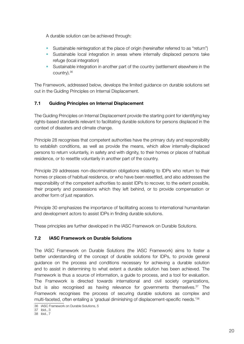A durable solution can be achieved through:

- Sustainable reintegration at the place of origin (hereinafter referred to as "return")
- Sustainable local integration in areas where internally displaced persons take refuge (local integration)
- Sustainable integration in another part of the country (settlement elsewhere in the country).36

The Framework, addressed below, develops the limited guidance on durable solutions set out in the Guiding Principles on Internal Displacement.

#### 7.1 Guiding Principles on Internal Displacement

The Guiding Principles on Internal Displacement provide the starting point for identifying key rights-based standards relevant to facilitating durable solutions for persons displaced in the context of disasters and climate change.

Principle 28 recognises that competent authorities have the primary duty and responsibility to establish conditions, as well as provide the means, which allow internally-displaced persons to return voluntarily, in safety and with dignity, to their homes or places of habitual residence, or to resettle voluntarily in another part of the country.

Principle 29 addresses non-discrimination obligations relating to IDPs who return to their homes or places of habitual residence, or who have been resettled, and also addresses the responsibility of the competent authorities to assist IDPs to recover, to the extent possible, their property and possessions which they left behind, or to provide compensation or another form of just reparation.

Principle 30 emphasizes the importance of facilitating access to international humanitarian and development actors to assist IDPs in finding durable solutions.

These principles are further developed in the IASC Framework on Durable Solutions.

#### 7.2 IASC Framework on Durable Solutions

The IASC Framework on Durable Solutions (the IASC Framework) aims to foster a better understanding of the concept of durable solutions for IDPs, to provide general guidance on the process and conditions necessary for achieving a durable solution and to assist in determining to what extent a durable solution has been achieved. The Framework is thus a source of information, a guide to process, and a tool for evaluation. The Framework is directed towards international and civil society organizations, but is also recognised as having relevance for governments themselves.<sup>37</sup> The Framework recognises the process of securing durable solutions as complex and multi-faceted, often entailing a 'gradual diminishing of displacement-specific needs.'38

<sup>36</sup> IASC Framework on Durable Solutions, 5

<sup>37</sup> ibid., 3

<sup>38</sup> ibid., 7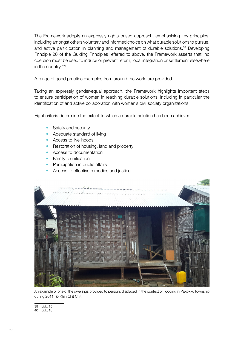The Framework adopts an expressly rights-based approach, emphasising key principles, including amongst others voluntary and informed choice on what durable solutions to pursue, and active participation in planning and management of durable solutions.<sup>39</sup> Developing Principle 28 of the Guiding Principles referred to above, the Framework asserts that 'no coercion must be used to induce or prevent return, local integration or settlement elsewhere in the country.'40

A range of good practice examples from around the world are provided.

to ensure participation of women in reaching durable solutions, including in particular the Taking an expressly gender-equal approach, the Framework highlights important steps identification of and active collaboration with women's civil society organizations.

Eight criteria determine the extent to which a durable solution has been achieved:

- Safety and security
- Adequate standard of living
- Access to livelihoods
- Restoration of housing, land and property
- Access to documentation
- Family reunification
- Participation in public affairs
- Access to effective remedies and justice



An example of one of the dwellings provided to persons displaced in the context of flooding in Pakokku township during 2011. © Khin Chit Chit

39 ibid., 15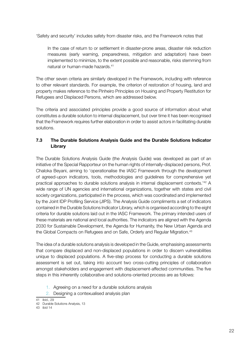'Safety and security' includes safety from disaster risks, and the Framework notes that

In the case of return to or settlement in disaster-prone areas, disaster risk reduction measures (early warning, preparedness, mitigation and adaptation) have been implemented to minimize, to the extent possible and reasonable, risks stemming from natural or human-made hazards.41

The other seven criteria are similarly developed in the Framework, including with reference to other relevant standards. For example, the criterion of restoration of housing, land and property makes reference to the Pinheiro Principles on Housing and Property Restitution for Refugees and Displaced Persons, which are addressed below.

The criteria and associated principles provide a good source of information about what constitutes a durable solution to internal displacement, but over time it has been recognised that the Framework requires further elaboration in order to assist actors in facilitating durable solutions.

#### 7.3 The Durable Solutions Analysis Guide and the Durable Solutions Indicator Library

The Durable Solutions Analysis Guide (the Analysis Guide) was developed as part of an initiative of the Special Rapporteur on the human rights of internally-displaced persons, Prof. Chaloka Beyani, aiming to 'operationalise the IASC Framework through the development of agreed-upon indicators, tools, methodologies and guidelines for comprehensive yet practical approaches to durable solutions analysis in internal displacement contexts.'42 A wide range of UN agencies and international organizations, together with states and civil society organizations, participated in the process, which was coordinated and implemented by the Joint IDP Profiling Service (JIPS). The Analysis Guide compliments a set of indicators contained in the Durable Solutions Indicator Library, which is organised according to the eight criteria for durable solutions laid out in the IASC Framework. The primary intended users of these materials are national and local authorities. The indicators are aligned with the Agenda 2030 for Sustainable Development, the Agenda for Humanity, the New Urban Agenda and the Global Compacts on Refugees and on Safe, Orderly and Regular Migration.<sup>43</sup>

The idea of a durable solutions analysis is developed in the Guide, emphasising assessments that compare displaced and non-displaced populations in order to discern vulnerabilities unique to displaced populations. A five-step process for conducting a durable solutions assessment is set out, taking into account two cross-cutting principles of collaboration amongst stakeholders and engagement with displacement-affected communities. The five steps in this inherently collaborative and solutions-oriented process are as follows:

- 1. Agreeing on a need for a durable solutions analysis
- 2. Designing a contexualised analysis plan

<sup>41</sup> ibid., 29

<sup>42</sup> Durable Solutions Analysis, 13

<sup>43</sup> ibid 14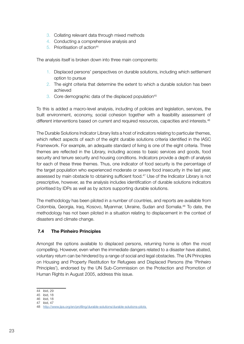- 3. Collating relevant data through mixed methods
- 4. Conducting a comprehensive analysis and
- 5. Prioritisation of action<sup>44</sup>

The analysis itself is broken down into three main components:

- 1. Displaced persons' perspectives on durable solutions, including which settlement option to pursue
- 2. The eight criteria that determine the extent to which a durable solution has been achieved
- 3. Core demographic data of the displaced population<sup>45</sup>

To this is added a macro-level analysis, including of policies and legislation, services, the built environment, economy, social cohesion together with a feasibility assessment of different interventions based on current and required resources, capacities and interests.<sup>46</sup>

The Durable Solutions Indicator Library lists a host of indicators relating to particular themes, which reflect aspects of each of the eight durable solutions criteria identified in the IASC Framework. For example, an adequate standard of living is one of the eight criteria. Three themes are reflected in the Library, including access to basic services and goods, food security and tenure security and housing conditions. Indicators provide a depth of analysis for each of these three themes. Thus, one indicator of food security is the percentage of the target population who experienced moderate or severe food insecurity in the last year, assessed by main obstacle to obtaining sufficient food.<sup>47</sup> Use of the Indicator Library is not prescriptive, however, as the analysis includes identification of durable solutions indicators prioritised by IDPs as well as by actors supporting durable solutions.

The methodology has been piloted in a number of countries, and reports are available from Colombia, Georgia, Iraq, Kosovo, Myanmar, Ukraine, Sudan and Somalia.<sup>48</sup> To date, the methodology has not been piloted in a situation relating to displacement in the context of disasters and climate change.

#### 7.4 The Pinheiro Principles

Amongst the options available to displaced persons, returning home is often the most compelling. However, even when the immediate dangers related to a disaster have abated, voluntary return can be hindered by a range of social and legal obstacles. The UN Principles on Housing and Property Restitution for Refugees and Displaced Persons (the 'Pinheiro Principles'), endorsed by the UN Sub-Commission on the Protection and Promotion of Human Rights in August 2005, address this issue.

<sup>44</sup> ibid, 29

<sup>45</sup> ibid, 18

<sup>46</sup> ibid, 18

<sup>47</sup> ibid, 47

<sup>48</sup> [http://www.jips.org/en/profiling/durable-solutions/durable-](http://www.jips.org/en/profiling/durable-solutions/durable-solutions-pilots)solutions-pilots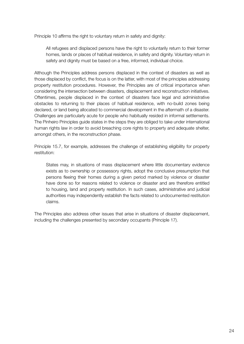Principle 10 affirms the right to voluntary return in safety and dignity:

All refugees and displaced persons have the right to voluntarily return to their former homes, lands or places of habitual residence, in safety and dignity. Voluntary return in safety and dignity must be based on a free, informed, individual choice.

Although the Principles address persons displaced in the context of disasters as well as those displaced by conflict, the focus is on the latter, with most of the principles addressing property restitution procedures. However, the Principles are of critical importance when considering the intersection between disasters, displacement and reconstruction initiatives. Oftentimes, people displaced in the context of disasters face legal and administrative obstacles to returning to their places of habitual residence, with no-build zones being declared, or land being allocated to commercial development in the aftermath of a disaster. Challenges are particularly acute for people who habitually resided in informal settlements. The Pinheiro Principles guide states in the steps they are obliged to take under international human rights law in order to avoid breaching core rights to property and adequate shelter, amongst others, in the reconstruction phase.

Principle 15.7, for example, addresses the challenge of establishing eligibility for property restitution:

States may, in situations of mass displacement where little documentary evidence exists as to ownership or possessory rights, adopt the conclusive presumption that persons fleeing their homes during a given period marked by violence or disaster have done so for reasons related to violence or disaster and are therefore entitled to housing, land and property restitution. In such cases, administrative and judicial authorities may independently establish the facts related to undocumented restitution claims.

The Principles also address other issues that arise in situations of disaster displacement, including the challenges presented by secondary occupants (Principle 17).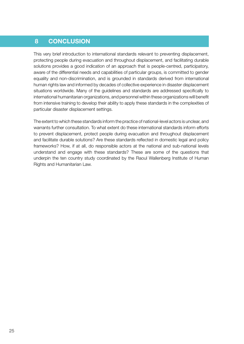## 8 CONCLUSION

This very brief introduction to international standards relevant to preventing displacement, protecting people during evacuation and throughout displacement, and facilitating durable solutions provides a good indication of an approach that is people-centred, participatory, aware of the differential needs and capabilities of particular groups, is committed to gender equality and non-discrimination, and is grounded in standards derived from international human rights law and informed by decades of collective experience in disaster displacement situations worldwide. Many of the guidelines and standards are addressed specifically to international humanitarian organizations, and personnel within these organizations will benefit from intensive training to develop their ability to apply these standards in the complexities of particular disaster displacement settings.

The extent to which these standards inform the practice of national-level actors is unclear, and warrants further consultation. To what extent do these international standards inform efforts to prevent displacement, protect people during evacuation and throughout displacement and facilitate durable solutions? Are these standards reflected in domestic legal and policy frameworks? How, if at all, do responsible actors at the national and sub-national levels understand and engage with these standards? These are some of the questions that underpin the ten country study coordinated by the Raoul Wallenberg Institute of Human Rights and Humanitarian Law.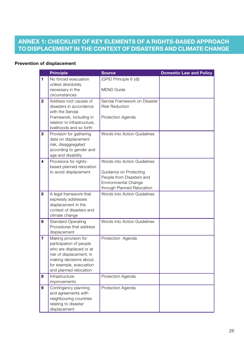## ANNEX 1: CHECKLIST OF KEY ELEMENTS OF A RIGHTS-BASED APPROACH TO DISPLACEMENT IN THE CONTEXT OF DISASTERS AND CLIMATE CHANGE

#### Prevention of displacement

|                         | <b>Principle</b>                                                                                                                                                                       | <b>Source</b>                                                                                                                                    | <b>Domestic Law and Policy</b> |
|-------------------------|----------------------------------------------------------------------------------------------------------------------------------------------------------------------------------------|--------------------------------------------------------------------------------------------------------------------------------------------------|--------------------------------|
| 1                       | No forced evacuation<br>unless absolutely<br>necessary in the<br>circumstances                                                                                                         | (GPID Principle 6 (d))<br><b>MEND Guide</b>                                                                                                      |                                |
| $\overline{2}$          | Address root causes of<br>disasters in accordance<br>with the Sendai<br>Framework, including in<br>relation to infrastructure,<br>livelihoods and so forth                             | Sendai Framework on Disaster<br><b>Risk Reduction</b><br>Protection Agenda                                                                       |                                |
| 3                       | Provision for gathering<br>data on displacement<br>risk, disaggregated<br>according to gender and<br>age and disability                                                                | Words into Action Guidelines                                                                                                                     |                                |
| 4                       | Provisions for rights-<br>based planned relocation<br>to avoid displacement                                                                                                            | Words into Action Guidelines<br>Guidance on Protecting<br>People from Disasters and<br><b>Environmental Change</b><br>through Planned Relocation |                                |
| 5                       | A legal framework that<br>expressly addresses<br>displacement in the<br>context of disasters and<br>climate change                                                                     | Words into Action Guidelines                                                                                                                     |                                |
| 6                       | <b>Standard Operating</b><br>Procedures that address<br>displacement                                                                                                                   | Words into Action Guidelines                                                                                                                     |                                |
| $\overline{\mathbf{7}}$ | Making provision for<br>participation of people<br>who are displaced or at<br>risk of displacement, in<br>making decisions about,<br>for example, evacuation<br>and planned relocation | Protection Agenda                                                                                                                                |                                |
| 8                       | Infrastructure<br>improvements                                                                                                                                                         | Protection Agenda                                                                                                                                |                                |
| 9                       | Contingency planning<br>and agreements with<br>neighbouring countries<br>relating to disaster<br>displacement                                                                          | Protection Agenda                                                                                                                                |                                |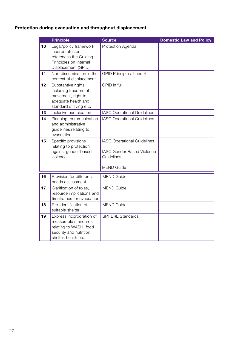## Protection during evacuation and throughout displacement

|    | <b>Principle</b>                                                                                                              | <b>Source</b>                                                                                       | <b>Domestic Law and Policy</b> |
|----|-------------------------------------------------------------------------------------------------------------------------------|-----------------------------------------------------------------------------------------------------|--------------------------------|
| 10 | Legal/policy framework<br>incorporates or<br>references the Guiding<br>Principles on Internal<br>Displacement (GPID)          | Protection Agenda                                                                                   |                                |
| 11 | Non-discrimination in the<br>context of displacement                                                                          | GPID Principles 1 and 4                                                                             |                                |
| 12 | Substantive rights<br>including freedom of<br>movement, right to<br>adequate health and<br>standard of living etc.            | GPID in full                                                                                        |                                |
| 13 | Inclusive participation                                                                                                       | <b>IASC Operational Guidelines</b>                                                                  |                                |
| 14 | Planning, communication<br>and administrative<br>guidelines relating to<br>evacuation                                         | <b>IASC Operational Guidelines</b>                                                                  |                                |
| 15 | Specific provisions<br>relating to protection<br>against gender-based<br>violence                                             | <b>IASC Operational Guidelines</b><br>IASC Gender Based Violence<br>Guidelines<br><b>MEND Guide</b> |                                |
| 16 | Provision for differential<br>needs assessment                                                                                | <b>MEND Guide</b>                                                                                   |                                |
| 17 | Clarification of roles,<br>resource implications and<br>timeframes for evacuation                                             | <b>MEND Guide</b>                                                                                   |                                |
| 18 | Pre-identification of<br>suitable shelter                                                                                     | <b>MEND Guide</b>                                                                                   |                                |
| 19 | Express incorporation of<br>measurable standards<br>relating to WASH, food<br>security and nutrition,<br>shelter, health etc. | <b>SPHERE Standards</b>                                                                             |                                |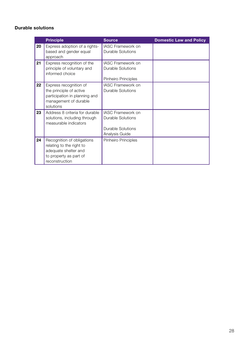#### Durable solutions

|    | <b>Principle</b>                                                                                                           | <b>Source</b>                                                                                      | <b>Domestic Law and Policy</b> |
|----|----------------------------------------------------------------------------------------------------------------------------|----------------------------------------------------------------------------------------------------|--------------------------------|
| 20 | Express adoption of a rights-<br>based and gender equal<br>approach                                                        | IASC Framework on<br><b>Durable Solutions</b>                                                      |                                |
| 21 | Express recognition of the<br>principle of voluntary and<br>informed choice                                                | <b>IASC Framework on</b><br><b>Durable Solutions</b><br>Pinheiro Principles                        |                                |
| 22 | Express recognition of<br>the principle of active<br>participation in planning and<br>management of durable<br>solutions   | <b>IASC Framework on</b><br><b>Durable Solutions</b>                                               |                                |
| 23 | Address 8 criteria for durable<br>solutions, including through<br>measurable indicators                                    | <b>IASC Framework on</b><br><b>Durable Solutions</b><br><b>Durable Solutions</b><br>Analysis Guide |                                |
| 24 | Recognition of obligations<br>relating to the right to<br>adequate shelter and<br>to property as part of<br>reconstruction | Pinheiro Principles                                                                                |                                |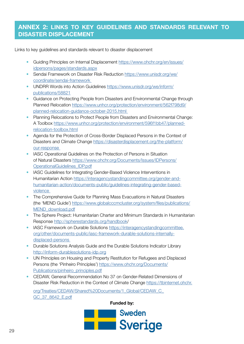## ANNEX 2: LINKS TO KEY GUIDELINES AND STANDARDS RELEVANT TO DISASTER DISPLACEMENT

Links to key guidelines and standards relevant to disaster displacement

- Guiding Principles on Internal Displacement [https://www.ohchr.org/en/](https://www.ohchr.org/en)issues/ idpersons/pages/standards.aspx
- Sendai Framework on Disaster Risk Reduction [https://www.unisdr.org/we/](https://www.unisdr.org/we/coordinate/sendai) [coordinate/sendai](https://www.unisdr.org/we/coordinate/sendai)-framework
- UNDRR Words into Action Guidelines [https://www.unisdr.org/we/inform/](https://www.unisdr.org/we/inform/publications/58821) [publications/58821](https://www.unisdr.org/we/inform/publications/58821)
- Guidance on Protecting People from Disasters and Environmental Change through Planned Relocation [https://www.unhcr.org/protection/environment/562f798d9/](https://www.unhcr.org/protection/environment/562f798d9) [planned-relocation-guidance-october-2015.html](http://planned-relocation-guidance-october-2015.html)
- Planning Relocations to Protect People from Disasters and Environmental Change: A Toolbox<https://www.unhcr.org/protection/environment/596f1bb47/planned> relocation-toolbox.html
- Agenda for the Protection of Cross-Border Displaced Persons in the Context of Disasters and Climate Change [https://disasterdisplacement.org/the-platform/](https://disasterdisplacement.org/the-platform/
our-response ) [our](https://disasterdisplacement.org/the-platform/
our-response )-response
- IASC Operational Guidelines on the Protection of Persons in Situation of Natural Disasters [https://www.ohchr.org/Documents/Issues/IDPersons/](https://www.ohchr.org/Documents/Issues/IDPersons/OperationalGuidelines_IDP.pdf) [OperationalGuidelines\\_IDP.pdf](https://www.ohchr.org/Documents/Issues/IDPersons/OperationalGuidelines_IDP.pdf)
- IASC Guidelines for Integrating Gender-Based Violence Interventions in Humanitarian Action [https://interagencystandingcommittee.org/gender-and](https://interagencystandingcommittee.org/gender-and-humanitarian-action/documents-public/guidelines)[humanitarian-action/documents-public/guidelines](https://interagencystandingcommittee.org/gender-and-humanitarian-action/documents-public/guidelines)-integrating-gender-basedviolence
- The Comprehensive Guide for Planning Mass Evacuations in Natural Disasters (the 'MEND Guide') [https://www.globalcccmcluster.org/system/files/publications/](https://www.globalcccmcluster.org/system/files/publications/MEND_download.pdf) [MEND\\_download.pdf](https://www.globalcccmcluster.org/system/files/publications/MEND_download.pdf)
- The Sphere Project: Humanitarian Charter and Minimum Standards in Humanitarian Response [http://spherestandards.org/handbook/](http://spherestandards.org/handbook)
- IASC Framework on Durable Solutions [https://interagencystandingcommittee.](https://interagencystandingcommittee.org/other/documents-public/iasc) [org/other/documents-public/iasc-](https://interagencystandingcommittee.org/other/documents-public/iasc)framework-durable-solutions-internallydisplaced-persons
- Durable Solutions Analysis Guide and the Durable Solutions Indicator Library <http://inform-durablesolutions-idp.org>
- UN Principles on Housing and Property Restitution for Refugees and Displaced Persons (the 'Pinheiro Principles') [https://www.ohchr.org/Documents/](https://www.ohchr.org/Documents/Publications/pinheiro_principles.pdf) [Publications/pinheiro\\_principles.pdf](https://www.ohchr.org/Documents/Publications/pinheiro_principles.pdf)
- CEDAW, General Recommendation No 37 on Gender-Related Dimensions of Disaster Risk Reduction in the Context of Climate Change [https://tbinternet.ohchr.](https://tbinternet.ohchr.org/Treaties/CEDAW/Shared)

[org/Treaties/CEDAW/Shared%](https://tbinternet.ohchr.org/Treaties/CEDAW/Shared)20Documents/1\_Global/[CEDAW\\_C\\_](http://CEDAW_C_GC_37_8642_E.pdf) [GC\\_37\\_8642\\_E.pdf](http://CEDAW_C_GC_37_8642_E.pdf)